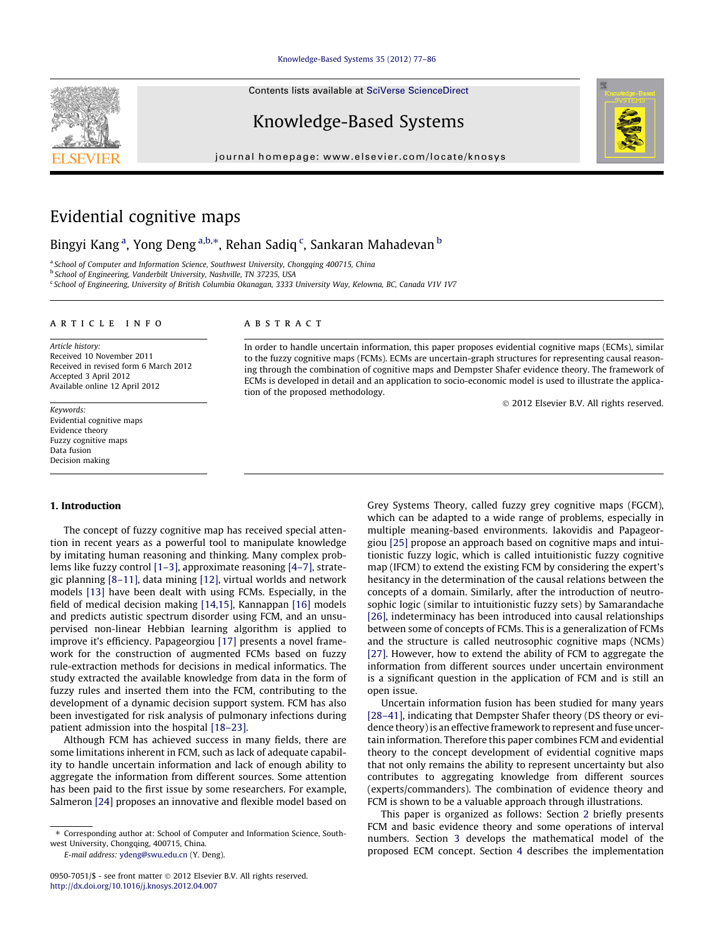#### [Knowledge-Based Systems 35 \(2012\) 77–86](http://dx.doi.org/10.1016/j.knosys.2012.04.007)

Contents lists available at [SciVerse ScienceDirect](http://www.sciencedirect.com/science/journal/09507051)

# Knowledge-Based Systems

journal homepage: [www.elsevier.com/locate/knosys](http://www.elsevier.com/locate/knosys)



# Evidential cognitive maps

# Bingyi Kang<sup>a</sup>, Yong Deng<sup>a,b,</sup>\*, Rehan Sadiq <sup>c</sup>, Sankaran Mahadevan <sup>b</sup>

a School of Computer and Information Science, Southwest University, Chongqing 400715, China

<sup>b</sup> School of Engineering, Vanderbilt University, Nashville, TN 37235, USA

<sup>c</sup> School of Engineering, University of British Columbia Okanagan, 3333 University Way, Kelowna, BC, Canada V1V 1V7

#### article info

Article history: Received 10 November 2011 Received in revised form 6 March 2012 Accepted 3 April 2012 Available online 12 April 2012

Keywords: Evidential cognitive maps Evidence theory Fuzzy cognitive maps Data fusion Decision making

#### ABSTRACT

In order to handle uncertain information, this paper proposes evidential cognitive maps (ECMs), similar to the fuzzy cognitive maps (FCMs). ECMs are uncertain-graph structures for representing causal reasoning through the combination of cognitive maps and Dempster Shafer evidence theory. The framework of ECMs is developed in detail and an application to socio-economic model is used to illustrate the application of the proposed methodology.

- 2012 Elsevier B.V. All rights reserved.

# 1. Introduction

The concept of fuzzy cognitive map has received special attention in recent years as a powerful tool to manipulate knowledge by imitating human reasoning and thinking. Many complex problems like fuzzy control [\[1–3\],](#page-8-0) approximate reasoning [\[4–7\],](#page-8-0) strategic planning [\[8–11\],](#page-8-0) data mining [\[12\],](#page-8-0) virtual worlds and network models [\[13\]](#page-8-0) have been dealt with using FCMs. Especially, in the field of medical decision making [\[14,15\]](#page-8-0), Kannappan [\[16\]](#page-8-0) models and predicts autistic spectrum disorder using FCM, and an unsupervised non-linear Hebbian learning algorithm is applied to improve it's efficiency. Papageorgiou [\[17\]](#page-8-0) presents a novel framework for the construction of augmented FCMs based on fuzzy rule-extraction methods for decisions in medical informatics. The study extracted the available knowledge from data in the form of fuzzy rules and inserted them into the FCM, contributing to the development of a dynamic decision support system. FCM has also been investigated for risk analysis of pulmonary infections during patient admission into the hospital [\[18–23\].](#page-9-0)

Although FCM has achieved success in many fields, there are some limitations inherent in FCM, such as lack of adequate capability to handle uncertain information and lack of enough ability to aggregate the information from different sources. Some attention has been paid to the first issue by some researchers. For example, Salmeron [\[24\]](#page-9-0) proposes an innovative and flexible model based on

E-mail address: [ydeng@swu.edu.cn](mailto:ydeng@swu.edu.cn) (Y. Deng).

Grey Systems Theory, called fuzzy grey cognitive maps (FGCM), which can be adapted to a wide range of problems, especially in multiple meaning-based environments. Iakovidis and Papageorgiou [\[25\]](#page-9-0) propose an approach based on cognitive maps and intuitionistic fuzzy logic, which is called intuitionistic fuzzy cognitive map (IFCM) to extend the existing FCM by considering the expert's hesitancy in the determination of the causal relations between the concepts of a domain. Similarly, after the introduction of neutrosophic logic (similar to intuitionistic fuzzy sets) by Samarandache [\[26\]](#page-9-0), indeterminacy has been introduced into causal relationships between some of concepts of FCMs. This is a generalization of FCMs and the structure is called neutrosophic cognitive maps (NCMs) [\[27\]](#page-9-0). However, how to extend the ability of FCM to aggregate the information from different sources under uncertain environment is a significant question in the application of FCM and is still an open issue.

Uncertain information fusion has been studied for many years [\[28–41\]](#page-9-0), indicating that Dempster Shafer theory (DS theory or evidence theory) is an effective framework to represent and fuse uncertain information. Therefore this paper combines FCM and evidential theory to the concept development of evidential cognitive maps that not only remains the ability to represent uncertainty but also contributes to aggregating knowledge from different sources (experts/commanders). The combination of evidence theory and FCM is shown to be a valuable approach through illustrations.

This paper is organized as follows: Section [2](#page-1-0) briefly presents FCM and basic evidence theory and some operations of interval numbers. Section [3](#page-2-0) develops the mathematical model of the proposed ECM concept. Section [4](#page-4-0) describes the implementation



<sup>⇑</sup> Corresponding author at: School of Computer and Information Science, Southwest University, Chongqing, 400715, China.

<sup>0950-7051/\$ -</sup> see front matter © 2012 Elsevier B.V. All rights reserved. <http://dx.doi.org/10.1016/j.knosys.2012.04.007>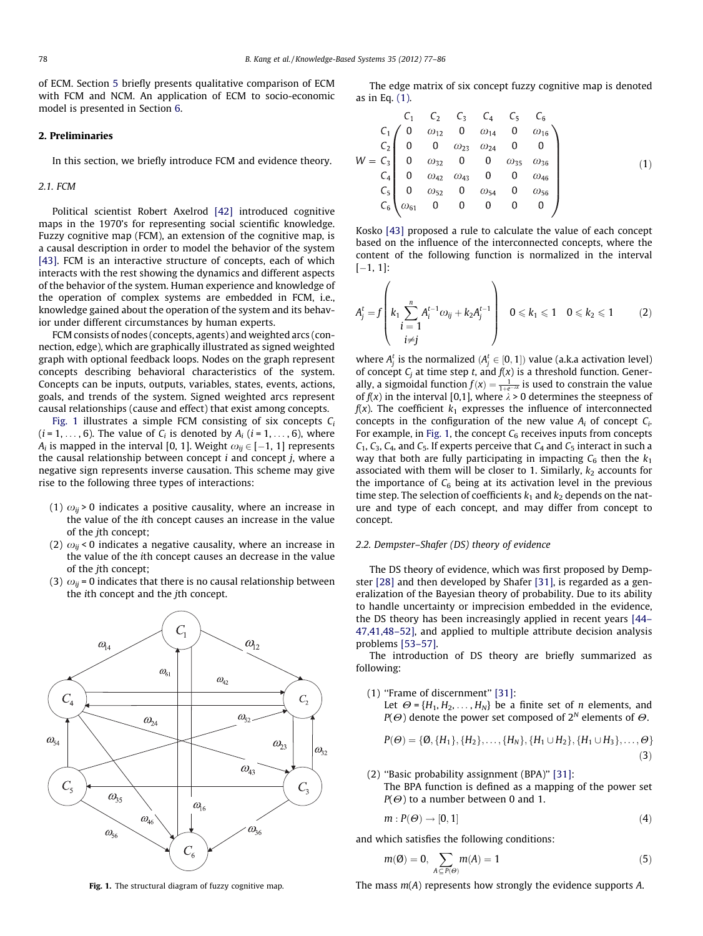<span id="page-1-0"></span>of ECM. Section [5](#page-5-0) briefly presents qualitative comparison of ECM with FCM and NCM. An application of ECM to socio-economic model is presented in Section [6.](#page-6-0)

### 2. Preliminaries

In this section, we briefly introduce FCM and evidence theory.

#### 2.1. FCM

Political scientist Robert Axelrod [\[42\]](#page-9-0) introduced cognitive maps in the 1970's for representing social scientific knowledge. Fuzzy cognitive map (FCM), an extension of the cognitive map, is a causal description in order to model the behavior of the system [\[43\]](#page-9-0). FCM is an interactive structure of concepts, each of which interacts with the rest showing the dynamics and different aspects of the behavior of the system. Human experience and knowledge of the operation of complex systems are embedded in FCM, i.e., knowledge gained about the operation of the system and its behavior under different circumstances by human experts.

FCM consists of nodes (concepts, agents) and weighted arcs (connection, edge), which are graphically illustrated as signed weighted graph with optional feedback loops. Nodes on the graph represent concepts describing behavioral characteristics of the system. Concepts can be inputs, outputs, variables, states, events, actions, goals, and trends of the system. Signed weighted arcs represent causal relationships (cause and effect) that exist among concepts.

Fig. 1 illustrates a simple FCM consisting of six concepts  $C_i$  $(i = 1, \ldots, 6)$ . The value of  $C_i$  is denoted by  $A_i$   $(i = 1, \ldots, 6)$ , where  $A_i$  is mapped in the interval [0, 1]. Weight  $\omega_{ij}$   $\in$  [ $-1,$  1] represents the causal relationship between concept  $i$  and concept  $j$ , where a negative sign represents inverse causation. This scheme may give rise to the following three types of interactions:

- (1)  $\omega_{ii}$  > 0 indicates a positive causality, where an increase in the value of the ith concept causes an increase in the value of the jth concept;
- (2)  $\omega_{ii}$  < 0 indicates a negative causality, where an increase in the value of the ith concept causes an decrease in the value of the jth concept;
- (3)  $\omega_{ij}$  = 0 indicates that there is no causal relationship between the ith concept and the jth concept.



The edge matrix of six concept fuzzy cognitive map is denoted as in Eq. (1).

$$
W = \begin{pmatrix} C_1 & C_2 & C_3 & C_4 & C_5 & C_6 \ C_1 & 0 & \omega_{12} & 0 & \omega_{14} & 0 & \omega_{16} \\ C_2 & 0 & 0 & \omega_{23} & \omega_{24} & 0 & 0 \\ 0 & \omega_{32} & 0 & 0 & \omega_{35} & \omega_{36} \\ C_4 & 0 & \omega_{42} & \omega_{43} & 0 & 0 & \omega_{46} \\ C_5 & 0 & \omega_{52} & 0 & \omega_{54} & 0 & \omega_{56} \\ C_6 & \omega_{61} & 0 & 0 & 0 & 0 & 0 \end{pmatrix}
$$
(1)

Kosko [\[43\]](#page-9-0) proposed a rule to calculate the value of each concept based on the influence of the interconnected concepts, where the content of the following function is normalized in the interval  $[-1, 1]$ :

$$
A_j^t = f\left(k_1 \sum_{\substack{i=1 \ i \neq j}}^n A_i^{t-1} \omega_{ij} + k_2 A_j^{t-1}\right) \quad 0 \leq k_1 \leq 1 \quad 0 \leq k_2 \leq 1 \tag{2}
$$

where  $A_j^t$  is the normalized  $(A_j^t \in [0,1])$  value (a.k.a activation level) of concept  $C_j$  at time step t, and  $f(x)$  is a threshold function. Generally, a sigmoidal function  $f(x) = \frac{1}{1 + e^{-\lambda x}}$  is used to constrain the value of  $f(x)$  in the interval [0,1], where  $\lambda > 0$  determines the steepness of  $f(x)$ . The coefficient  $k_1$  expresses the influence of interconnected concepts in the configuration of the new value  $A_i$  of concept  $C_i$ . For example, in Fig. 1, the concept  $C_6$  receives inputs from concepts  $C_1$ ,  $C_3$ ,  $C_4$ , and  $C_5$ . If experts perceive that  $C_4$  and  $C_5$  interact in such a way that both are fully participating in impacting  $C_6$  then the  $k_1$ associated with them will be closer to 1. Similarly,  $k_2$  accounts for the importance of  $C_6$  being at its activation level in the previous time step. The selection of coefficients  $k_1$  and  $k_2$  depends on the nature and type of each concept, and may differ from concept to concept.

# 2.2. Dempster–Shafer (DS) theory of evidence

The DS theory of evidence, which was first proposed by Dempster [\[28\]](#page-9-0) and then developed by Shafer [\[31\],](#page-9-0) is regarded as a generalization of the Bayesian theory of probability. Due to its ability to handle uncertainty or imprecision embedded in the evidence, the DS theory has been increasingly applied in recent years [\[44–](#page-9-0) [47,41,48–52\]](#page-9-0), and applied to multiple attribute decision analysis problems [\[53–57\].](#page-9-0)

The introduction of DS theory are briefly summarized as following:

- (1) ''Frame of discernment'' [\[31\]:](#page-9-0)
	- Let  $\Theta = \{H_1, H_2, \ldots, H_N\}$  be a finite set of *n* elements, and  $P(\Theta)$  denote the power set composed of  $2^N$  elements of  $\Theta$ .

$$
P(\Theta) = \{ \emptyset, \{H_1\}, \{H_2\}, \dots, \{H_N\}, \{H_1 \cup H_2\}, \{H_1 \cup H_3\}, \dots, \Theta \}
$$
\n(3)

(2) ''Basic probability assignment (BPA)'' [\[31\]](#page-9-0): The BPA function is defined as a mapping of the power set  $P(\Theta)$  to a number between 0 and 1.

$$
m: P(\Theta) \to [0, 1] \tag{4}
$$

and which satisfies the following conditions:

$$
m(\emptyset) = 0, \sum_{A \subseteq P(\Theta)} m(A) = 1 \tag{5}
$$

Fig. 1. The structural diagram of fuzzy cognitive map. The mass  $m(A)$  represents how strongly the evidence supports A.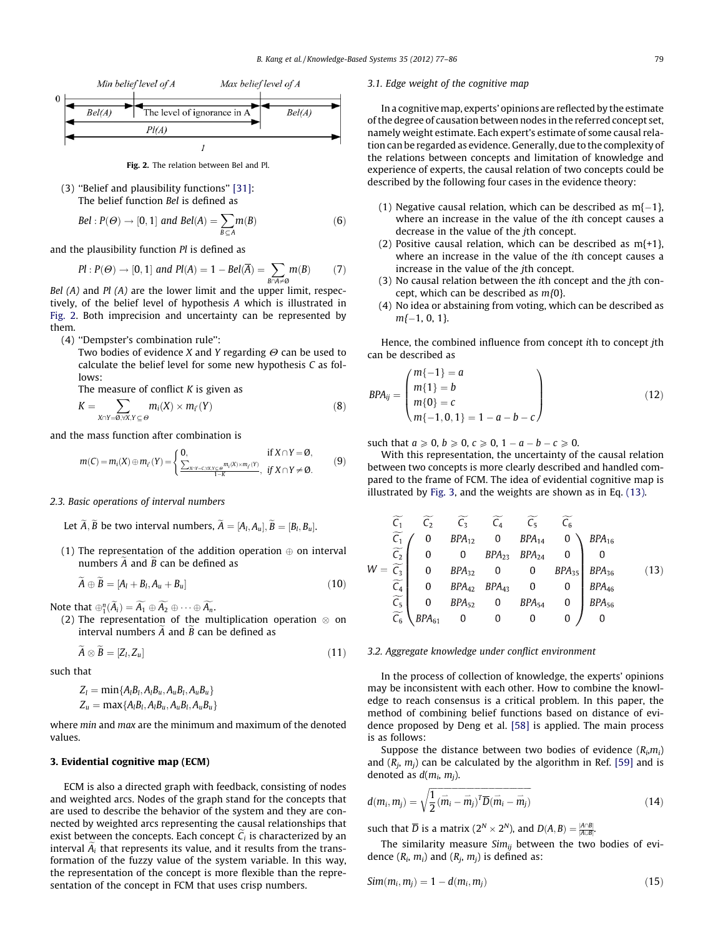<span id="page-2-0"></span>

Fig. 2. The relation between Bel and Pl.

(3) ''Belief and plausibility functions'' [\[31\]:](#page-9-0) The belief function Bel is defined as

$$
Bel: P(\Theta) \to [0, 1] \text{ and } Bel(A) = \sum_{B \subseteq A} m(B) \tag{6}
$$

and the plausibility function Pl is defined as

$$
Pl: P(\Theta) \to [0, 1] \text{ and } Pl(A) = 1 - Bel(\overline{A}) = \sum_{B \cap A \neq \emptyset} m(B) \tag{7}
$$

B $\alpha$ –*B*<br>Bel (A) and Pl (A) are the lower limit and the upper limit, respectively, of the belief level of hypothesis A which is illustrated in Fig. 2. Both imprecision and uncertainty can be represented by them.

(4) ''Dempster's combination rule'':

Two bodies of evidence X and Y regarding  $\Theta$  can be used to calculate the belief level for some new hypothesis C as follows:

The measure of conflict  $K$  is given as

$$
K = \sum_{X \cap Y = \emptyset, \forall X, Y \subseteq \Theta} m_i(X) \times m_{i'}(Y) \tag{8}
$$

and the mass function after combination is

$$
m(C) = m_i(X) \oplus m_{i'}(Y) = \begin{cases} 0, & \text{if } X \cap Y = \emptyset, \\ \frac{\sum_{X:Y = C: X:Y \subset \Theta} m_i(X) \times m_{i'}(Y)}{1 - K}, & \text{if } X \cap Y \neq \emptyset. \end{cases}
$$
(9)

### 2.3. Basic operations of interval numbers

- Let A, B be two interval numbers,  $A = [A_l, A_u]$ ,  $B = [B_l, B_u]$ .
- (1) The representation of the addition operation  $\oplus$  on interval numbers  $A$  and  $B$  can be defined as

 $A \oplus B = [A_l + B_l, A_u + B_u]$  (10)

Note that  $\oplus_1^n(A_i) = A_1 \oplus A_2 \oplus \cdots \oplus A_n$ .

(2) The representation of the multiplication operation  $\otimes$  on interval numbers  $A$  and  $B$  can be defined as

$$
\widetilde{A} \otimes \widetilde{B} = [Z_l, Z_u] \tag{11}
$$

such that

$$
Z_l = \min\{A_lB_l, A_lB_u, A_uB_l, A_uB_u\}
$$
  

$$
Z_u = \max\{A_lB_l, A_lB_u, A_uB_l, A_uB_u\}
$$

where min and max are the minimum and maximum of the denoted values.

# 3. Evidential cognitive map (ECM)

ECM is also a directed graph with feedback, consisting of nodes and weighted arcs. Nodes of the graph stand for the concepts that are used to describe the behavior of the system and they are connected by weighted arcs representing the causal relationships that exist between the concepts. Each concept  $C_i$  is characterized by an interval  $A_i$  that represents its value, and it results from the transformation of the fuzzy value of the system variable. In this way, the representation of the concept is more flexible than the representation of the concept in FCM that uses crisp numbers.

3.1. Edge weight of the cognitive map

In a cognitive map, experts' opinions are reflected by the estimate of the degree of causation between nodes in the referred concept set, namely weight estimate. Each expert's estimate of some causal relation can be regarded as evidence. Generally, due to the complexity of the relations between concepts and limitation of knowledge and experience of experts, the causal relation of two concepts could be described by the following four cases in the evidence theory:

- (1) Negative causal relation, which can be described as  $m\{-1\}$ , where an increase in the value of the ith concept causes a decrease in the value of the jth concept.
- (2) Positive causal relation, which can be described as  $m\{+1\}$ , where an increase in the value of the ith concept causes a increase in the value of the jth concept.
- (3) No causal relation between the ith concept and the jth concept, which can be described as  $m(0)$ .
- (4) No idea or abstaining from voting, which can be described as  $m\{-1, 0, 1\}.$

Hence, the combined influence from concept ith to concept jth can be described as

$$
BPA_{ij} = \begin{pmatrix} m\{-1\} = a \\ m\{1\} = b \\ m\{0\} = c \\ m\{-1, 0, 1\} = 1 - a - b - c \end{pmatrix}
$$
 (12)

such that  $a \geqslant 0$ ,  $b \geqslant 0$ ,  $c \geqslant 0$ ,  $1 - a - b - c \geqslant 0$ .

With this representation, the uncertainty of the causal relation between two concepts is more clearly described and handled compared to the frame of FCM. The idea of evidential cognitive map is illustrated by [Fig. 3](#page-3-0), and the weights are shown as in Eq. (13).

$$
\widetilde{C_1} \quad \widetilde{C_2} \quad \widetilde{C_3} \quad \widetilde{C_4} \quad \widetilde{C_5} \quad \widetilde{C_6} \n\widetilde{C_1} \quad 0 \quad BPA_{12} \quad 0 \quad BPA_{14} \quad 0 \nW = \widetilde{C_3} \quad 0 \quad BPA_{22} \quad 0 \quad 0 \quad BPA_{24} \quad 0 \n\widetilde{C_4} \quad 0 \quad BPA_{32} \quad 0 \quad 0 \quad BPA_{35} \quad BPA_{36} \n\widetilde{C_5} \quad 0 \quad BPA_{42} \quad BPA_{43} \quad 0 \quad 0 \n\widetilde{C_6} \quad BPA_{61} \quad 0 \quad 0 \quad 0 \quad 0 \n\widetilde{C_7} \quad BPA_{61} \quad 0 \quad 0 \quad 0 \quad 0 \n\widetilde{C_8} \quad BPA_{61} \quad 0 \quad 0 \quad 0 \n\widetilde{C_9} \quad \widetilde{C_9} \quad \widetilde{C_9} \quad \widetilde{C_9} \quad \widetilde{C_9} \quad \widetilde{C_9} \quad 0 \quad 0 \n\widetilde{C_1} \quad 0 \quad 0 \quad 0 \quad 0 \n\widetilde{C_2} \quad 0 \quad BPA_{61} \quad 0 \quad 0 \n\widetilde{C_3} \quad 0 \quad 0 \n\widetilde{C_4} \quad 0 \n\widetilde{C_5} \quad 0 \n\widetilde{C_6} \quad 0 \n\widetilde{C_7} \quad 0 \n\widetilde{C_7} \quad 0 \n\widetilde{C_8} \quad 0 \n\widetilde{C_9} \quad 0 \n\widetilde{C_9} \quad 0 \n\widetilde{C_9} \quad 0 \n\widetilde{C_7} \quad 0 \n\widetilde{C_8} \quad 0 \n\widetilde{C_9} \quad 0 \n\widetilde{C_9} \quad 0 \n\widetilde{C_9} \quad 0 \n\widetilde{C_9} \
$$

#### 3.2. Aggregate knowledge under conflict environment

In the process of collection of knowledge, the experts' opinions may be inconsistent with each other. How to combine the knowledge to reach consensus is a critical problem. In this paper, the method of combining belief functions based on distance of evidence proposed by Deng et al. [\[58\]](#page-9-0) is applied. The main process is as follows:

Suppose the distance between two bodies of evidence  $(R_i, m_i)$ and  $(R_i, m_i)$  can be calculated by the algorithm in Ref. [\[59\]](#page-9-0) and is denoted as  $d(m_i, m_j)$ .

$$
d(m_i, m_j) = \sqrt{\frac{1}{2}(\vec{m}_i - \vec{m}_j)^T \overline{D}(\vec{m}_i - \vec{m}_j)}
$$
(14)

such that  $\overline{D}$  is a matrix  $(2^N \times 2^N)$ , and  $D(A, B) = \frac{|A \cap B|}{|A \cup B|}$ .

The similarity measure  $Sim_{ii}$  between the two bodies of evidence  $(R_i, m_i)$  and  $(R_j, m_j)$  is defined as:

$$
Sim(m_i, m_j) = 1 - d(m_i, m_j) \tag{15}
$$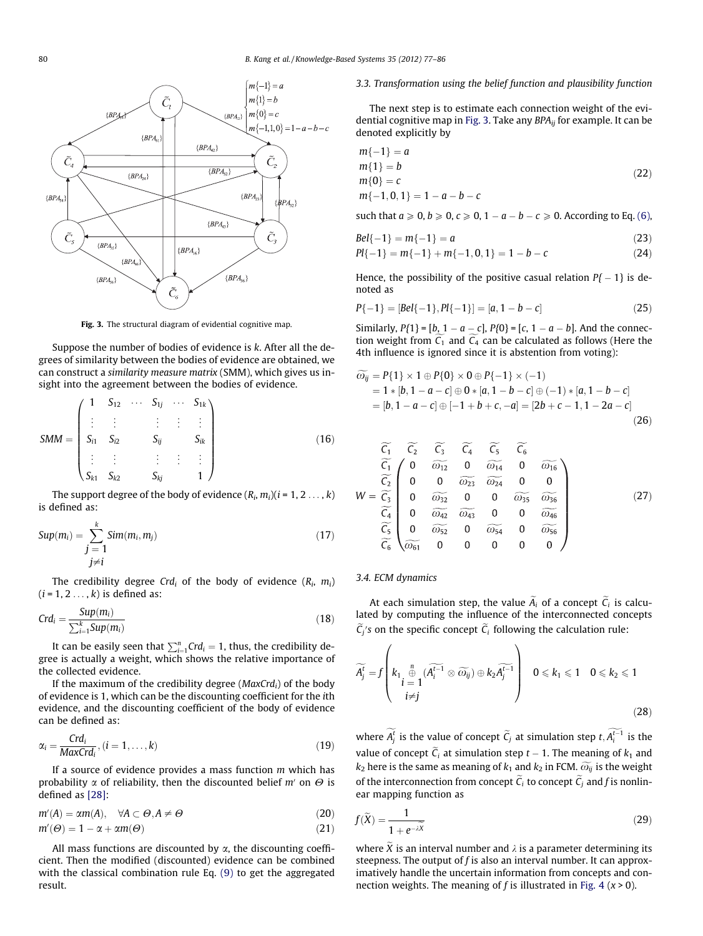<span id="page-3-0"></span>

Fig. 3. The structural diagram of evidential cognitive map.

Suppose the number of bodies of evidence is k. After all the degrees of similarity between the bodies of evidence are obtained, we can construct a similarity measure matrix (SMM), which gives us insight into the agreement between the bodies of evidence.

$$
SMM = \begin{pmatrix} 1 & S_{12} & \cdots & S_{1j} & \cdots & S_{1k} \\ \vdots & \vdots & & \vdots & \vdots & \vdots \\ S_{i1} & S_{i2} & & S_{ij} & & S_{ik} \\ \vdots & \vdots & & \vdots & \vdots & \vdots \\ S_{k1} & S_{k2} & & S_{kj} & & 1 \end{pmatrix}
$$
(16)

The support degree of the body of evidence  $(R_i, m_i)(i = 1, 2, ..., k)$ is defined as:

$$
Sup(m_i) = \sum_{\substack{j=1 \ j \neq i}}^{k} Sim(m_i, m_j)
$$
\n(17)

The credibility degree Crd<sub>i</sub> of the body of evidence  $(R_i, m_i)$  $(i = 1, 2, \ldots, k)$  is defined as:

$$
Crd_i = \frac{Sup(m_i)}{\sum_{i=1}^{k}Sup(m_i)}\tag{18}
$$

It can be easily seen that  $\sum_{i=1}^{n} Crd_{i} = 1$ , thus, the credibility degree is actually a weight, which shows the relative importance of the collected evidence.

If the maximum of the credibility degree ( $MaxCrd<sub>i</sub>$ ) of the body of evidence is 1, which can be the discounting coefficient for the ith evidence, and the discounting coefficient of the body of evidence can be defined as:

$$
\alpha_i = \frac{Crd_i}{MaxCrd_i}, (i = 1, \dots, k)
$$
\n(19)

If a source of evidence provides a mass function  $m$  which has probability  $\alpha$  of reliability, then the discounted belief m' on  $\Theta$  is defined as [\[28\]:](#page-9-0)

$$
m'(A) = \alpha m(A), \quad \forall A \subset \Theta, A \neq \Theta
$$
  
\n
$$
m'(\Theta) = 1 - \alpha + \alpha m(\Theta)
$$
\n(21)

All mass functions are discounted by  $\alpha$ , the discounting coefficient. Then the modified (discounted) evidence can be combined with the classical combination rule Eq. [\(9\)](#page-2-0) to get the aggregated result.

#### 3.3. Transformation using the belief function and plausibility function

The next step is to estimate each connection weight of the evidential cognitive map in Fig. 3. Take any  $BPA_{ii}$  for example. It can be denoted explicitly by

$$
m\{-1\} = a
$$
  
\n
$$
m\{1\} = b
$$
  
\n
$$
m\{0\} = c
$$
  
\n
$$
m\{-1, 0, 1\} = 1 - a - b - c
$$
\n(22)

such that  $a \ge 0$ ,  $b \ge 0$ ,  $c \ge 0$ ,  $1 - a - b - c \ge 0$ . According to Eq. [\(6\),](#page-2-0)

$$
Bel{-1} = m{-1} = a \tag{23}
$$

$$
Pl{-1} = m{-1} + m{-1, 0, 1} = 1 - b - c
$$
 (24)

Hence, the possibility of the positive casual relation  $P\{-1\}$  is denoted as

$$
P\{-1\} = [Bel\{-1\}, Pl\{-1\}] = [a, 1 - b - c]
$$
\n(25)

Similarly,  $P\{1\} = [b, 1 - a - c]$ ,  $P\{0\} = [c, 1 - a - b]$ . And the connection weight from  $C_1$  and  $C_4$  can be calculated as follows (Here the 4th influence is ignored since it is abstention from voting):

$$
\widetilde{\omega}_{ij} = P\{1\} \times 1 \oplus P\{0\} \times 0 \oplus P\{-1\} \times (-1) \n= 1 * [b, 1 - a - c] \oplus 0 * [a, 1 - b - c] \oplus (-1) * [a, 1 - b - c] \n= [b, 1 - a - c] \oplus [-1 + b + c, -a] = [2b + c - 1, 1 - 2a - c]
$$
\n(26)

$$
\begin{array}{ccc}\n\widetilde{C}_{1} & \widetilde{C}_{2} & \widetilde{C}_{3} & \widetilde{C}_{4} & \widetilde{C}_{5} & \widetilde{C}_{6} \\
\widetilde{C}_{1} & 0 & \widetilde{\omega_{12}} & 0 & \widetilde{\omega_{14}} & 0 & \widetilde{\omega_{16}} \\
\widetilde{C}_{2} & 0 & 0 & \widetilde{\omega_{23}} & \widetilde{\omega_{24}} & 0 & 0 \\
W = \widetilde{C}_{3} & 0 & \widetilde{\omega_{32}} & 0 & 0 & \widetilde{\omega_{35}} & \widetilde{\omega_{36}} \\
0 & \widetilde{\omega_{42}} & \widetilde{\omega_{43}} & 0 & 0 & \widetilde{\omega_{46}} \\
\widetilde{C}_{5} & 0 & \widetilde{\omega_{52}} & 0 & \widetilde{\omega_{54}} & 0 & \widetilde{\omega_{56}} \\
\widetilde{C}_{6} & \widetilde{\omega_{61}} & 0 & 0 & 0 & 0 & 0\n\end{array}
$$
\n(27)

#### 3.4. ECM dynamics

At each simulation step, the value  $A_i$  of a concept  $C_i$  is calculated by computing the influence of the interconnected concepts  $C_j$ 's on the specific concept  $C_i$  following the calculation rule:

$$
\widetilde{A}_{j}^{t} = f\left(k_{1} \oplus_{\substack{i=1 \ i \neq j}}^{n} (\widetilde{A_{i}^{t-1}} \otimes \widetilde{\omega_{ij}}) \oplus k_{2} \widetilde{A_{j}^{t-1}}\right) \quad 0 \leq k_{1} \leq 1 \quad 0 \leq k_{2} \leq 1
$$
\n(28)

where  $A_j^t$  is the value of concept  $\tilde{C}_j$  at simulation step  $t, A_i^{t-1}$  is the value of concept  $C_i$  at simulation step  $t-1$ . The meaning of  $k_1$  and  $k_2$  here is the same as meaning of  $k_1$  and  $k_2$  in FCM.  $\widetilde{\omega_{ij}}$  is the weight of the interconnection from concept  $C_i$  to concept  $C_j$  and f is nonlinear mapping function as

$$
f(\widetilde{X}) = \frac{1}{1 + e^{-\lambda \widetilde{X}}} \tag{29}
$$

where  $\widetilde{X}$  is an interval number and  $\lambda$  is a parameter determining its steepness. The output of  $f$  is also an interval number. It can approximatively handle the uncertain information from concepts and con-nection weights. The meaning of f is illustrated in [Fig. 4](#page-4-0) ( $x > 0$ ).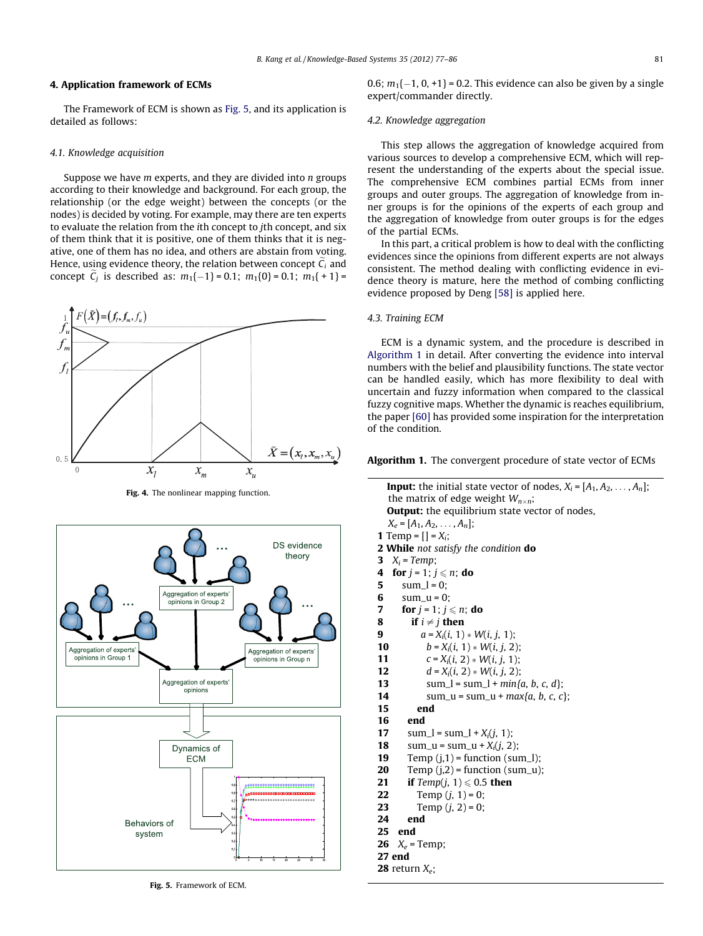# <span id="page-4-0"></span>4. Application framework of ECMs

The Framework of ECM is shown as Fig. 5, and its application is detailed as follows:

### 4.1. Knowledge acquisition

Suppose we have  $m$  experts, and they are divided into  $n$  groups according to their knowledge and background. For each group, the relationship (or the edge weight) between the concepts (or the nodes) is decided by voting. For example, may there are ten experts to evaluate the relation from the ith concept to jth concept, and six of them think that it is positive, one of them thinks that it is negative, one of them has no idea, and others are abstain from voting. Hence, using evidence theory, the relation between concept  $C_i$  and concept  $C_j$  is described as:  $m_1\{-1\} = 0.1$ ;  $m_1\{0\} = 0.1$ ;  $m_1\{+1\} =$ 



Fig. 4. The nonlinear mapping function.



Fig. 5. Framework of ECM.

0.6;  $m_1\{-1, 0, +1\}$  = 0.2. This evidence can also be given by a single expert/commander directly.

#### 4.2. Knowledge aggregation

This step allows the aggregation of knowledge acquired from various sources to develop a comprehensive ECM, which will represent the understanding of the experts about the special issue. The comprehensive ECM combines partial ECMs from inner groups and outer groups. The aggregation of knowledge from inner groups is for the opinions of the experts of each group and the aggregation of knowledge from outer groups is for the edges of the partial ECMs.

In this part, a critical problem is how to deal with the conflicting evidences since the opinions from different experts are not always consistent. The method dealing with conflicting evidence in evidence theory is mature, here the method of combing conflicting evidence proposed by Deng [\[58\]](#page-9-0) is applied here.

## 4.3. Training ECM

ECM is a dynamic system, and the procedure is described in Algorithm 1 in detail. After converting the evidence into interval numbers with the belief and plausibility functions. The state vector can be handled easily, which has more flexibility to deal with uncertain and fuzzy information when compared to the classical fuzzy cognitive maps. Whether the dynamic is reaches equilibrium, the paper [\[60\]](#page-9-0) has provided some inspiration for the interpretation of the condition.

#### Algorithm 1. The convergent procedure of state vector of ECMs

| <b>Input:</b> the initial state vector of nodes, $X_i = [A_1, A_2, \ldots, A_n]$ ; |
|------------------------------------------------------------------------------------|
| the matrix of edge weight $W_{n \times n}$ ;                                       |
| <b>Output:</b> the equilibrium state vector of nodes,                              |
| $X_e = [A_1, A_2, \ldots, A_n];$                                                   |
| <b>1</b> Temp = $[$   = $X_i$ ;                                                    |
| <b>2 While</b> not satisfy the condition <b>do</b>                                 |
| $X_i$ = Temp;<br>3                                                                 |
| for $j = 1$ ; $j \leq n$ ; do<br>4                                                 |
| 5<br>$sum_l = 0$ ;                                                                 |
| 6<br>$sum_u = 0$ ;                                                                 |
| $\overline{7}$<br>for $i = 1$ ; $i \le n$ ; do                                     |
| 8<br>if $i \neq j$ then                                                            |
| $a = X_i(i, 1) * W(i, j, 1);$<br>9                                                 |
| $b = X_i(i, 1) * W(i, j, 2);$<br>10                                                |
| $c = X_i(i, 2) * W(i, i, 1)$<br>11                                                 |
| 12<br>$d = X_i(i, 2) * W(i, j, 2);$                                                |
| 13<br>sum_l = sum_l + min{a, b, c, d};                                             |
| 14<br>sum_u = sum_u + $max{a, b, c, c}$ ;                                          |
| 15<br>end                                                                          |
| 16<br>end                                                                          |
| 17<br>sum_l = sum_l + $X_i(i, 1)$ ;                                                |
| sum_u = sum_u + $X_i(i, 2)$ ;<br>18                                                |
| Temp $(j,1)$ = function (sum_l);<br>19                                             |
| 20<br>Temp $(i,2)$ = function (sum_u);                                             |
| 21<br><b>if</b> Temp(j, 1) $\leq 0.5$ then                                         |
| Temp $(j, 1) = 0$ ;<br>22                                                          |
| Temp $(j, 2) = 0$ ;<br>23                                                          |
| 24<br>end                                                                          |
| 25<br>end                                                                          |
| 26<br>$X_e$ = Temp;                                                                |
| 27 end                                                                             |
| <b>28</b> return $X_e$ ;                                                           |
|                                                                                    |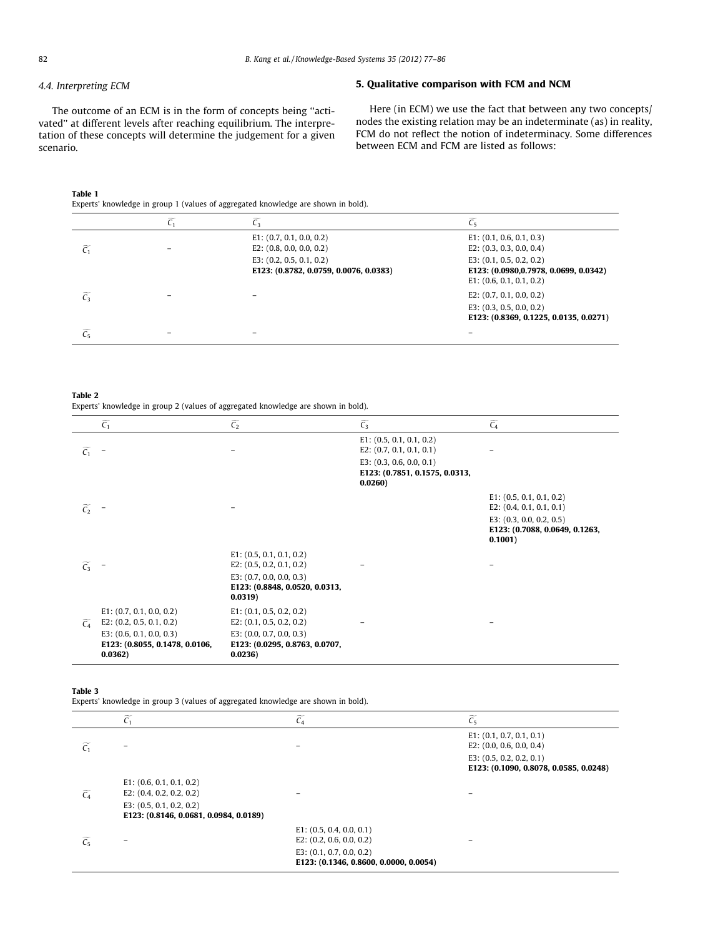# <span id="page-5-0"></span>4.4. Interpreting ECM

The outcome of an ECM is in the form of concepts being ''activated'' at different levels after reaching equilibrium. The interpretation of these concepts will determine the judgement for a given scenario.

# 5. Qualitative comparison with FCM and NCM

Here (in ECM) we use the fact that between any two concepts/ nodes the existing relation may be an indeterminate (as) in reality, FCM do not reflect the notion of indeterminacy. Some differences between ECM and FCM are listed as follows:

## Table 1

Experts' knowledge in group 1 (values of aggregated knowledge are shown in bold).

|                             | $E1$ : (0.7, 0.1, 0.0, 0.2)<br>E2: $(0.8, 0.0, 0.0, 0.2)$            | E1: (0.1, 0.6, 0.1, 0.3)<br>E2: $(0.3, 0.3, 0.0, 0.4)$                                             |
|-----------------------------|----------------------------------------------------------------------|----------------------------------------------------------------------------------------------------|
|                             | E3: $(0.2, 0.5, 0.1, 0.2)$<br>E123: (0.8782, 0.0759, 0.0076, 0.0383) | E3: $(0.1, 0.5, 0.2, 0.2)$<br>E123: (0.0980,0.7978, 0.0699, 0.0342)<br>$E1$ : (0.6, 0.1, 0.1, 0.2) |
| $\widetilde{\mathcal{C}_3}$ |                                                                      | E2: $(0.7, 0.1, 0.0, 0.2)$<br>E3: $(0.3, 0.5, 0.0, 0.2)$<br>E123: (0.8369, 0.1225, 0.0135, 0.0271) |
| $\widetilde{C_5}$           |                                                                      |                                                                                                    |

Table 2 Experts' knowledge in group 2 (values of aggregated knowledge are shown in bold).

|                   | $\widetilde{\mathcal{C}_1}$                                             | $\widetilde{C_2}$                                                       | $\widetilde{C_3}$                                                       | $\widetilde{C_4}$                                                       |
|-------------------|-------------------------------------------------------------------------|-------------------------------------------------------------------------|-------------------------------------------------------------------------|-------------------------------------------------------------------------|
| $\widetilde{C_1}$ |                                                                         |                                                                         | $E1$ : (0.5, 0.1, 0.1, 0.2)<br>E2: $(0.7, 0.1, 0.1, 0.1)$               |                                                                         |
|                   |                                                                         |                                                                         | E3: $(0.3, 0.6, 0.0, 0.1)$<br>E123: (0.7851, 0.1575, 0.0313,<br>0.0260) |                                                                         |
| $\widetilde{C_2}$ |                                                                         |                                                                         |                                                                         | $E1$ : (0.5, 0.1, 0.1, 0.2)<br>E2: $(0.4, 0.1, 0.1, 0.1)$               |
|                   |                                                                         |                                                                         |                                                                         | E3: $(0.3, 0.0, 0.2, 0.5)$<br>E123: (0.7088, 0.0649, 0.1263,<br>0.1001) |
| $\widetilde{C_3}$ |                                                                         | $E1$ : (0.5, 0.1, 0.1, 0.2)<br>E2: $(0.5, 0.2, 0.1, 0.2)$               |                                                                         |                                                                         |
|                   |                                                                         | E3: $(0.7, 0.0, 0.0, 0.3)$<br>E123: (0.8848, 0.0520, 0.0313,<br>0.0319) |                                                                         |                                                                         |
| $\widetilde{C}_A$ | $E1$ : (0.7, 0.1, 0.0, 0.2)<br>E2: $(0.2, 0.5, 0.1, 0.2)$               | $E1$ : (0.1, 0.5, 0.2, 0.2)<br>E2: $(0.1, 0.5, 0.2, 0.2)$               |                                                                         |                                                                         |
|                   | E3: $(0.6, 0.1, 0.0, 0.3)$<br>E123: (0.8055, 0.1478, 0.0106,<br>0.0362) | E3: $(0.0, 0.7, 0.0, 0.3)$<br>E123: (0.0295, 0.8763, 0.0707,<br>0.0236) |                                                                         |                                                                         |

### Table 3

Experts' knowledge in group 3 (values of aggregated knowledge are shown in bold).

|                   | $\widetilde{C_1}$                      | $\widetilde{C_4}$                      | $\widetilde{C_5}$                                                    |
|-------------------|----------------------------------------|----------------------------------------|----------------------------------------------------------------------|
| $\widetilde{C}_1$ |                                        |                                        | $E1$ : (0.1, 0.7, 0.1, 0.1)<br>E2: $(0.0, 0.6, 0.0, 0.4)$            |
|                   |                                        |                                        | E3: $(0.5, 0.2, 0.2, 0.1)$<br>E123: (0.1090, 0.8078, 0.0585, 0.0248) |
|                   | E1: (0.6, 0.1, 0.1, 0.2)               |                                        |                                                                      |
| $\widetilde{C_4}$ | E2: $(0.4, 0.2, 0.2, 0.2)$             |                                        |                                                                      |
|                   | E3: $(0.5, 0.1, 0.2, 0.2)$             |                                        |                                                                      |
|                   | E123: (0.8146, 0.0681, 0.0984, 0.0189) |                                        |                                                                      |
|                   |                                        | E1: (0.5, 0.4, 0.0, 0.1)               |                                                                      |
| $\widetilde{C_5}$ |                                        | E2: $(0.2, 0.6, 0.0, 0.2)$             | $\overline{\phantom{0}}$                                             |
|                   |                                        | E3: $(0.1, 0.7, 0.0, 0.2)$             |                                                                      |
|                   |                                        | E123: (0.1346, 0.8600, 0.0000, 0.0054) |                                                                      |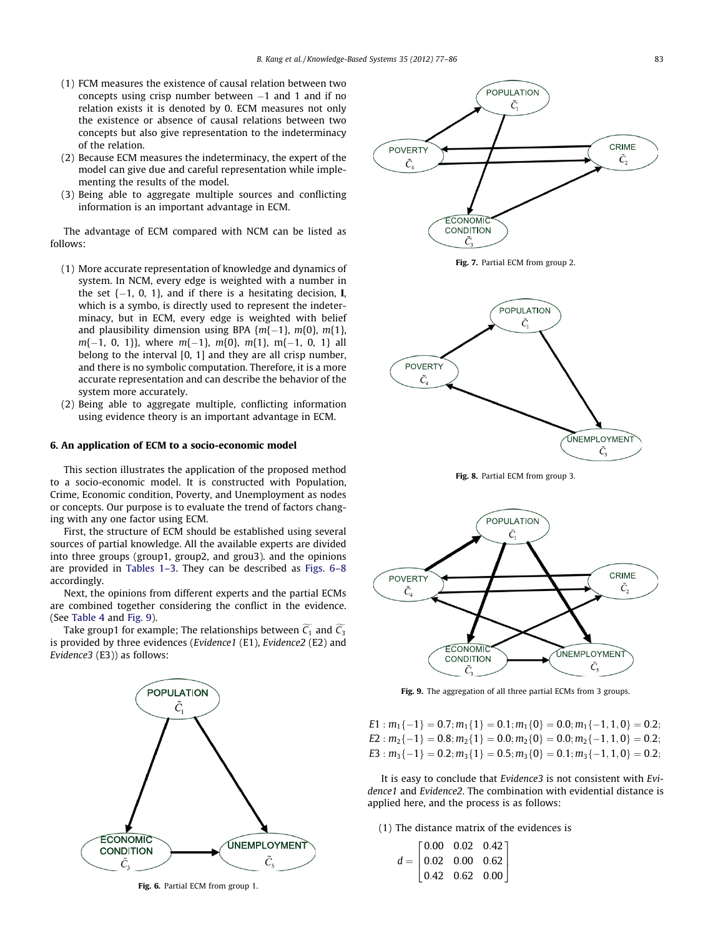- <span id="page-6-0"></span>(1) FCM measures the existence of causal relation between two concepts using crisp number between -1 and 1 and if no relation exists it is denoted by 0. ECM measures not only the existence or absence of causal relations between two concepts but also give representation to the indeterminacy of the relation.
- (2) Because ECM measures the indeterminacy, the expert of the model can give due and careful representation while implementing the results of the model.
- (3) Being able to aggregate multiple sources and conflicting information is an important advantage in ECM.

The advantage of ECM compared with NCM can be listed as follows:

- (1) More accurate representation of knowledge and dynamics of system. In NCM, every edge is weighted with a number in the set {-1, 0, 1}, and if there is a hesitating decision, I, which is a symbo, is directly used to represent the indeterminacy, but in ECM, every edge is weighted with belief and plausibility dimension using BPA  $\{m\{-1\}$ ,  $m\{0\}$ ,  $m\{1\}$ , m{-1, 0, 1}}, where m{-1}, m{0}, m{1}, m{-1, 0, 1} all belong to the interval [0, 1] and they are all crisp number, and there is no symbolic computation. Therefore, it is a more accurate representation and can describe the behavior of the system more accurately.
- (2) Being able to aggregate multiple, conflicting information using evidence theory is an important advantage in ECM.

#### 6. An application of ECM to a socio-economic model

This section illustrates the application of the proposed method to a socio-economic model. It is constructed with Population, Crime, Economic condition, Poverty, and Unemployment as nodes or concepts. Our purpose is to evaluate the trend of factors changing with any one factor using ECM.

First, the structure of ECM should be established using several sources of partial knowledge. All the available experts are divided into three groups (group1, group2, and grou3). and the opinions are provided in [Tables 1–3](#page-5-0). They can be described as Figs. 6–8 accordingly.

Next, the opinions from different experts and the partial ECMs are combined together considering the conflict in the evidence. (See [Table 4](#page-7-0) and Fig. 9).

Take group1 for example; The relationships between  $C_1$  and  $C_3$ is provided by three evidences (Evidence1 (E1), Evidence2 (E2) and Evidence3 (E3)) as follows:



Fig. 6. Partial ECM from group 1.







Fig. 9. The aggregation of all three partial ECMs from 3 groups.

 $E1: m_1\{-1\} = 0.7; m_1\{1\} = 0.1; m_1\{0\} = 0.0; m_1\{-1, 1, 0\} = 0.2;$  $E2: m_2\{-1\} = 0.8; m_2\{1\} = 0.0; m_2\{0\} = 0.0; m_2\{-1, 1, 0\} = 0.2;$  $E3: m_3\{-1\} = 0.2; m_3\{1\} = 0.5; m_3\{0\} = 0.1; m_3\{-1,1,0\} = 0.2;$ 

It is easy to conclude that Evidence3 is not consistent with Evidence1 and Evidence2. The combination with evidential distance is applied here, and the process is as follows:

(1) The distance matrix of the evidences is

|  | $d = \begin{bmatrix} 0.00 & 0.02 & 0.42 \\ 0.02 & 0.00 & 0.62 \\ 0.42 & 0.62 & 0.00 \end{bmatrix}$ |  |
|--|----------------------------------------------------------------------------------------------------|--|
|  |                                                                                                    |  |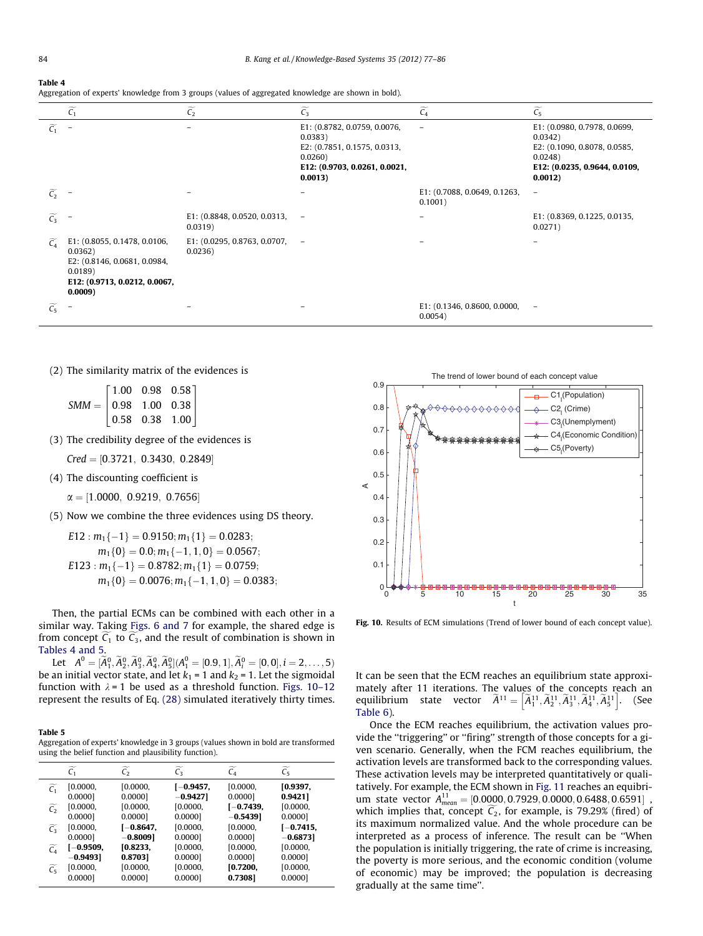#### <span id="page-7-0"></span>Table 4

| Aggregation of experts' knowledge from 3 groups (values of aggregated knowledge are shown in bold). |  |  |  |
|-----------------------------------------------------------------------------------------------------|--|--|--|
|                                                                                                     |  |  |  |
|                                                                                                     |  |  |  |
|                                                                                                     |  |  |  |

|                            | $\widetilde{C_1}$                                                                                                              | $\widetilde{C_2}$                           | $\widetilde{C_3}$                                                                                                              | $\widetilde{C_4}$                       | $\widetilde{C_5}$                                                                                                             |
|----------------------------|--------------------------------------------------------------------------------------------------------------------------------|---------------------------------------------|--------------------------------------------------------------------------------------------------------------------------------|-----------------------------------------|-------------------------------------------------------------------------------------------------------------------------------|
| $\widetilde{C_1}$          |                                                                                                                                |                                             | E1: (0.8782, 0.0759, 0.0076,<br>0.0383)<br>E2: (0.7851, 0.1575, 0.0313,<br>0.0260)<br>E12: (0.9703, 0.0261, 0.0021,<br>0.0013) |                                         | E1: (0.0980, 0.7978, 0.0699,<br>0.0342)<br>E2: (0.1090, 0.8078, 0.0585,<br>0.0248<br>E12: (0.0235, 0.9644, 0.0109,<br>0.0012) |
| $\widetilde{C_2}$          |                                                                                                                                |                                             |                                                                                                                                | E1: (0.7088, 0.0649, 0.1263,<br>0.1001) | $\qquad \qquad -$                                                                                                             |
| $\widetilde{\mathsf{C}_3}$ |                                                                                                                                | E1: (0.8848, 0.0520, 0.0313,<br>0.0319      |                                                                                                                                |                                         | E1: (0.8369, 0.1225, 0.0135,<br>0.0271)                                                                                       |
| $\widetilde{C}_4$          | E1: (0.8055, 0.1478, 0.0106,<br>0.0362)<br>E2: (0.8146, 0.0681, 0.0984,<br>0.0189)<br>E12: (0.9713, 0.0212, 0.0067,<br>0.0009) | E1: $(0.0295, 0.8763, 0.0707, -$<br>0.0236) |                                                                                                                                |                                         |                                                                                                                               |
| $\widetilde{C_5}$          |                                                                                                                                |                                             |                                                                                                                                | E1: (0.1346, 0.8600, 0.0000,<br>0.0054) | $\qquad \qquad -$                                                                                                             |

(2) The similarity matrix of the evidences is

|                                          |  | $\begin{bmatrix} 1.00 & 0.98 & 0.58 \end{bmatrix}$ |  |
|------------------------------------------|--|----------------------------------------------------|--|
| $SMM =   0.98 \space 1.00 \space 0.38  $ |  |                                                    |  |
|                                          |  | $\vert 0.58 \quad 0.38 \quad 1.00 \vert$           |  |

(3) The credibility degree of the evidences is

 $Cred = [0.3721, 0.3430, 0.2849]$ 

- (4) The discounting coefficient is
	- $\alpha = [1.0000, 0.9219, 0.7656]$
- (5) Now we combine the three evidences using DS theory.

 $E12: m_1\{-1\} = 0.9150; m_1\{1\} = 0.0283;$  $m_1\{0\} = 0.0; m_1\{-1,1,0\} = 0.0567;$  $E123: m_1\{-1\} = 0.8782; m_1\{1\} = 0.0759;$  $m_1\{0\} = 0.0076; m_1\{-1,1,0\} = 0.0383;$ 

Then, the partial ECMs can be combined with each other in a similar way. Taking [Figs. 6 and 7](#page-6-0) for example, the shared edge is from concept  $C_1$  to  $C_3$ , and the result of combination is shown in Tables 4 and 5.

Let  $A^0 = [\widetilde{A}_1^0, \widetilde{A}_2^0, \widetilde{A}_3^0, \widetilde{A}_4^0, \widetilde{A}_5^0](A_1^0 = [0.9, 1], \widetilde{A}_i^0 = [0, 0], i = 2, \ldots, 5)$ be an initial vector state, and let  $k_1 = 1$  and  $k_2 = 1$ . Let the sigmoidal function with  $\lambda = 1$  be used as a threshold function. Figs. 10-12 represent the results of Eq. [\(28\)](#page-3-0) simulated iteratively thirty times.

#### Table 5

Aggregation of experts' knowledge in 3 groups (values shown in bold are transformed using the belief function and plausibility function).

|                   | $\widetilde{\mathsf{C}_1}$ | $\overline{\mathsf{C}}_2$ | $\overline{C_3}$ | $C_4$       | $\widetilde{C_5}$ |
|-------------------|----------------------------|---------------------------|------------------|-------------|-------------------|
| $\widetilde{C}_1$ | [0.0000,                   | [0.0000]                  | $[-0.9457,$      | [0.0000,    | [0.9397,          |
|                   | 0.0000]                    | 0.0000]                   | $-0.9427$        | 0.0000]     | 0.9421            |
| $\widetilde{C_2}$ | [0.0000,                   | [0.0000,                  | [0.0000,         | $[-0.7439,$ | [0.0000,          |
|                   | 0.0000                     | $0.0000$ ]                | 0.00001          | $-0.5439]$  | $0.0000$ ]        |
| $\widetilde{C_2}$ | [0.0000,                   | $[-0.8647,$               | [0.0000,         | [0.0000,    | $[-0.7415,$       |
|                   | 0.0000]                    | $-0.8009$ ]               | 0.0000]          | 0.0000]     | $-0.6873]$        |
| $\widetilde{C_4}$ | [-0.9509,                  | [0.8233]                  | [0.0000,         | [0.0000,    | [0.0000,          |
|                   | $-0.9493]$                 | 0.8703]                   | 0.0000]          | 0.0000]     | 0.0000]           |
| $\widetilde{C_5}$ | [0.0000]                   | [0.0000,                  | [0.0000,         | [0.7200,    | [0.0000,          |
|                   | 0.0000]                    | 0.0000]                   | 0.0000]          | 0.7308]     | 0.0000]           |



Fig. 10. Results of ECM simulations (Trend of lower bound of each concept value).

It can be seen that the ECM reaches an equilibrium state approximately after 11 iterations. The values of the concepts reach an mately after 11 herations. The values of the concepts reach and<br>equilibrium state vector  $\tilde{A}^{11} = [\tilde{A}_1^{11}, \tilde{A}_2^{11}, \tilde{A}_3^{11}, \tilde{A}_4^{11}, \tilde{A}_5^{11}]$ . (See [Table 6](#page-8-0)).

Once the ECM reaches equilibrium, the activation values provide the ''triggering'' or ''firing'' strength of those concepts for a given scenario. Generally, when the FCM reaches equilibrium, the activation levels are transformed back to the corresponding values. These activation levels may be interpreted quantitatively or qualitatively. For example, the ECM shown in [Fig. 11](#page-8-0) reaches an equibrium state vector  $A^{11}_{mean} = [0.0000, 0.7929, 0.0000, 0.6488, 0.6591]$ , which implies that, concept  $C_2$ , for example, is 79.29% (fired) of its maximum normalized value. And the whole procedure can be interpreted as a process of inference. The result can be ''When the population is initially triggering, the rate of crime is increasing, the poverty is more serious, and the economic condition (volume of economic) may be improved; the population is decreasing gradually at the same time''.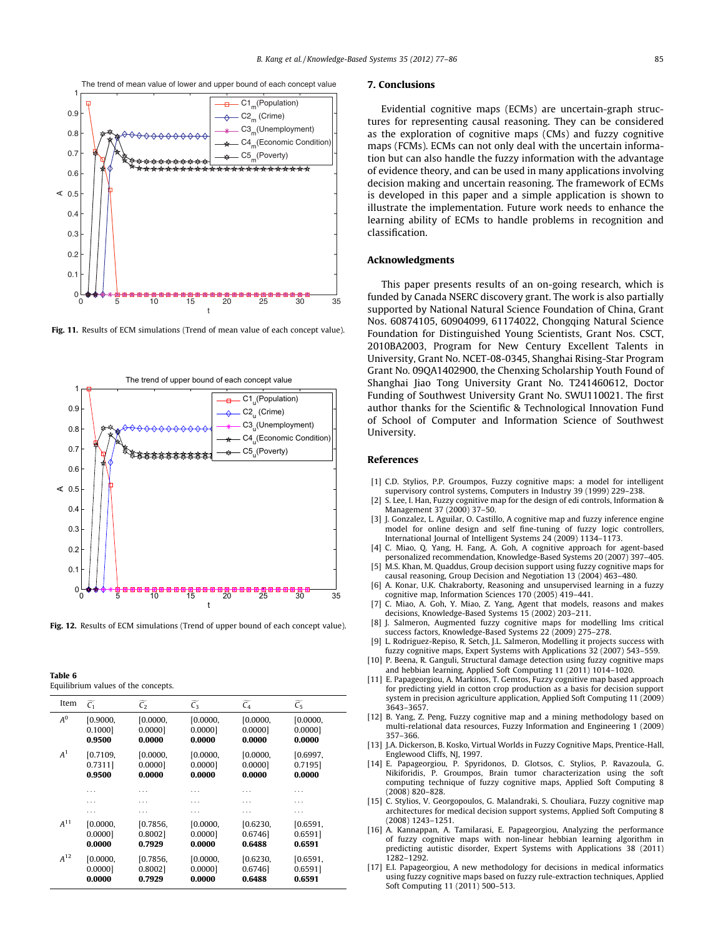<span id="page-8-0"></span>

Fig. 11. Results of ECM simulations (Trend of mean value of each concept value).



Fig. 12. Results of ECM simulations (Trend of upper bound of each concept value).

Table 6 Equilibrium values of the concepts.

| Item           | C <sub>1</sub> | $\overline{C_2}$ | ~<br>$\overline{C_3}$ | ~<br>C <sub>4</sub> | ~<br>C <sub>5</sub> |
|----------------|----------------|------------------|-----------------------|---------------------|---------------------|
| $A^0$          | [0.9000,       | [0.0000,         | [0.0000,              | [0.0000,            | [0.0000]            |
|                | 0.1000         | 0.0000]          | 0.0000]               | 0.0000]             | 0.0000]             |
|                | 0.9500         | 0.0000           | 0.0000                | 0.0000              | 0.0000              |
| A <sup>1</sup> | [0.7109]       | [0.0000,         | [0.0000,              | [0.0000,            | [0.6997,            |
|                | 0.7311         | 0.00001          | 0.00001               | 0.00001             | 0.71951             |
|                | 0.9500         | 0.0000           | 0.0000                | 0.0000              | 0.0000              |
|                | $\cdots$       | .                | .                     | .                   | $\cdots$            |
|                | .              | .                | .                     | .                   | .                   |
|                | $\cdots$       | .                | .                     | .                   | $\cdots$            |
| $A^{11}$       | [0.0000]       | [0.7856]         | [0.0000,              | [0.6230,            | [0.6591]            |
|                | 0.00001        | 0.80021          | 0.00001               | 0.67461             | 0.6591              |
|                | 0.0000         | 0.7929           | 0.0000                | 0.6488              | 0.6591              |
| $A^{12}$       | [0.0000,       | [0.7856,         | [0.0000,              | [0.6230,            | [0.6591]            |
|                | 0.0000]        | 0.80021          | 0.00001               | 0.67461             | 0.6591              |
|                | 0.0000         | 0.7929           | 0.0000                | 0.6488              | 0.6591              |

#### 7. Conclusions

Evidential cognitive maps (ECMs) are uncertain-graph structures for representing causal reasoning. They can be considered as the exploration of cognitive maps (CMs) and fuzzy cognitive maps (FCMs). ECMs can not only deal with the uncertain information but can also handle the fuzzy information with the advantage of evidence theory, and can be used in many applications involving decision making and uncertain reasoning. The framework of ECMs is developed in this paper and a simple application is shown to illustrate the implementation. Future work needs to enhance the learning ability of ECMs to handle problems in recognition and classification.

#### Acknowledgments

This paper presents results of an on-going research, which is funded by Canada NSERC discovery grant. The work is also partially supported by National Natural Science Foundation of China, Grant Nos. 60874105, 60904099, 61174022, Chongqing Natural Science Foundation for Distinguished Young Scientists, Grant Nos. CSCT, 2010BA2003, Program for New Century Excellent Talents in University, Grant No. NCET-08-0345, Shanghai Rising-Star Program Grant No. 09QA1402900, the Chenxing Scholarship Youth Found of Shanghai Jiao Tong University Grant No. T241460612, Doctor Funding of Southwest University Grant No. SWU110021. The first author thanks for the Scientific & Technological Innovation Fund of School of Computer and Information Science of Southwest University.

#### References

- [1] C.D. Stylios, P.P. Groumpos, Fuzzy cognitive maps: a model for intelligent supervisory control systems, Computers in Industry 39 (1999) 229–238.
- [2] S. Lee, I. Han, Fuzzy cognitive map for the design of edi controls, Information & Management 37 (2000) 37–50.
- J. Gonzalez, L. Aguilar, O. Castillo, A cognitive map and fuzzy inference engine model for online design and self fine-tuning of fuzzy logic controllers, International Journal of Intelligent Systems 24 (2009) 1134–1173.
- [4] C. Miao, Q. Yang, H. Fang, A. Goh, A cognitive approach for agent-based personalized recommendation, Knowledge-Based Systems 20 (2007) 397–405.
- [5] M.S. Khan, M. Quaddus, Group decision support using fuzzy cognitive maps for causal reasoning, Group Decision and Negotiation 13 (2004) 463–480.
- [6] A. Konar, U.K. Chakraborty, Reasoning and unsupervised learning in a fuzzy cognitive map, Information Sciences 170 (2005) 419–441.
- C. Miao, A. Goh, Y. Miao, Z. Yang, Agent that models, reasons and makes decisions, Knowledge-Based Systems 15 (2002) 203–211.
- [8] J. Salmeron, Augmented fuzzy cognitive maps for modelling lms critical success factors, Knowledge-Based Systems 22 (2009) 275–278.
- L. Rodriguez-Repiso, R. Setch, J.L. Salmeron, Modelling it projects success with fuzzy cognitive maps, Expert Systems with Applications 32 (2007) 543–559.
- [10] P. Beena, R. Ganguli, Structural damage detection using fuzzy cognitive maps and hebbian learning, Applied Soft Computing 11 (2011) 1014–1020.
- [11] E. Papageorgiou, A. Markinos, T. Gemtos, Fuzzy cognitive map based approach for predicting yield in cotton crop production as a basis for decision support system in precision agriculture application, Applied Soft Computing 11 (2009) 3643–3657.
- [12] B. Yang, Z. Peng, Fuzzy cognitive map and a mining methodology based on multi-relational data resources, Fuzzy Information and Engineering 1 (2009) 357–366.
- [13] J.A. Dickerson, B. Kosko, Virtual Worlds in Fuzzy Cognitive Maps, Prentice-Hall, Englewood Cliffs, NJ, 1997.
- [14] E. Papageorgiou, P. Spyridonos, D. Glotsos, C. Stylios, P. Ravazoula, G. Nikiforidis, P. Groumpos, Brain tumor characterization using the soft computing technique of fuzzy cognitive maps, Applied Soft Computing 8 (2008) 820–828.
- [15] C. Stylios, V. Georgopoulos, G. Malandraki, S. Chouliara, Fuzzy cognitive map architectures for medical decision support systems, Applied Soft Computing 8 (2008) 1243–1251.
- [16] A. Kannappan, A. Tamilarasi, E. Papageorgiou, Analyzing the performance of fuzzy cognitive maps with non-linear hebbian learning algorithm in predicting autistic disorder, Expert Systems with Applications 38 (2011) 1282–1292.
- [17] E.I. Papageorgiou, A new methodology for decisions in medical informatics using fuzzy cognitive maps based on fuzzy rule-extraction techniques, Applied Soft Computing 11 (2011) 500–513.